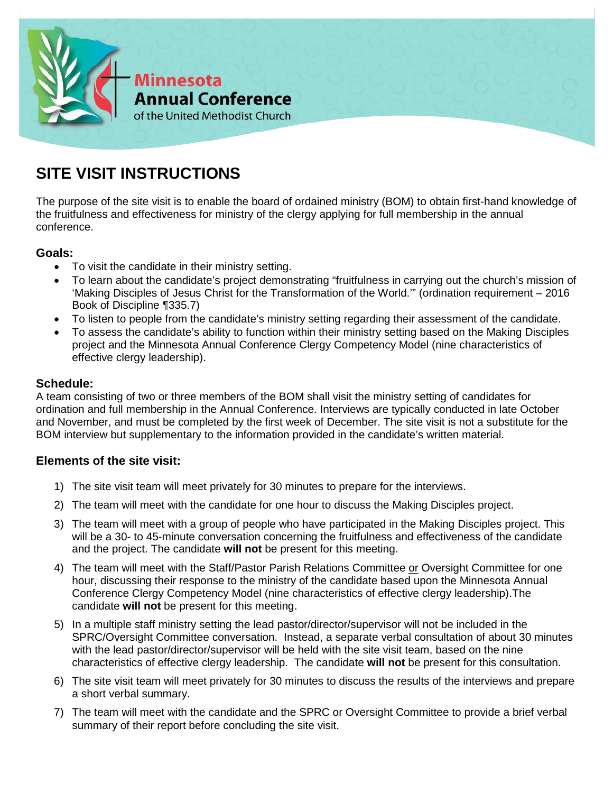

# **SITE VISIT INSTRUCTIONS**

The purpose of the site visit is to enable the board of ordained ministry (BOM) to obtain first-hand knowledge of the fruitfulness and effectiveness for ministry of the clergy applying for full membership in the annual conference.

# **Goals:**

- To visit the candidate in their ministry setting.
- To learn about the candidate's project demonstrating "fruitfulness in carrying out the church's mission of 'Making Disciples of Jesus Christ for the Transformation of the World.'" (ordination requirement – 2016 Book of Discipline ¶335.7)
- To listen to people from the candidate's ministry setting regarding their assessment of the candidate.
- To assess the candidate's ability to function within their ministry setting based on the Making Disciples project and the Minnesota Annual Conference Clergy Competency Model (nine characteristics of effective clergy leadership).

### **Schedule:**

A team consisting of two or three members of the BOM shall visit the ministry setting of candidates for ordination and full membership in the Annual Conference. Interviews are typically conducted in late October and November, and must be completed by the first week of December. The site visit is not a substitute for the BOM interview but supplementary to the information provided in the candidate's written material.

# **Elements of the site visit:**

- 1) The site visit team will meet privately for 30 minutes to prepare for the interviews.
- 2) The team will meet with the candidate for one hour to discuss the Making Disciples project.
- 3) The team will meet with a group of people who have participated in the Making Disciples project. This will be a 30- to 45-minute conversation concerning the fruitfulness and effectiveness of the candidate and the project. The candidate **will not** be present for this meeting.
- 4) The team will meet with the Staff/Pastor Parish Relations Committee or Oversight Committee for one hour, discussing their response to the ministry of the candidate based upon the Minnesota Annual Conference Clergy Competency Model (nine characteristics of effective clergy leadership).The candidate **will not** be present for this meeting.
- 5) In a multiple staff ministry setting the lead pastor/director/supervisor will not be included in the SPRC/Oversight Committee conversation. Instead, a separate verbal consultation of about 30 minutes with the lead pastor/director/supervisor will be held with the site visit team, based on the nine characteristics of effective clergy leadership. The candidate **will not** be present for this consultation.
- 6) The site visit team will meet privately for 30 minutes to discuss the results of the interviews and prepare a short verbal summary.
- 7) The team will meet with the candidate and the SPRC or Oversight Committee to provide a brief verbal summary of their report before concluding the site visit.